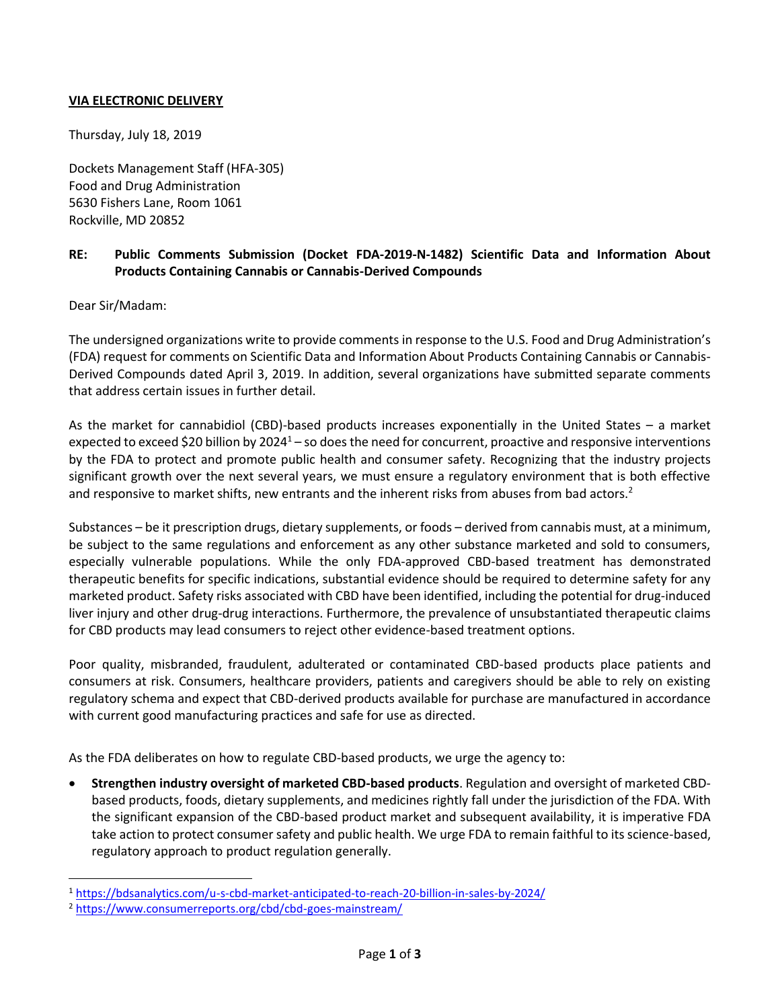## **VIA ELECTRONIC DELIVERY**

Thursday, July 18, 2019

Dockets Management Staff (HFA-305) Food and Drug Administration 5630 Fishers Lane, Room 1061 Rockville, MD 20852

## **RE: Public Comments Submission (Docket FDA-2019-N-1482) Scientific Data and Information About Products Containing Cannabis or Cannabis-Derived Compounds**

Dear Sir/Madam:

 $\overline{a}$ 

The undersigned organizations write to provide comments in response to the U.S. Food and Drug Administration's (FDA) request for comments on Scientific Data and Information About Products Containing Cannabis or Cannabis-Derived Compounds dated April 3, 2019. In addition, several organizations have submitted separate comments that address certain issues in further detail.

As the market for cannabidiol (CBD)-based products increases exponentially in the United States – a market expected to exceed \$20 billion by  $2024<sup>1</sup> -$  so does the need for concurrent, proactive and responsive interventions by the FDA to protect and promote public health and consumer safety. Recognizing that the industry projects significant growth over the next several years, we must ensure a regulatory environment that is both effective and responsive to market shifts, new entrants and the inherent risks from abuses from bad actors.<sup>2</sup>

Substances – be it prescription drugs, dietary supplements, or foods – derived from cannabis must, at a minimum, be subject to the same regulations and enforcement as any other substance marketed and sold to consumers, especially vulnerable populations. While the only FDA-approved CBD-based treatment has demonstrated therapeutic benefits for specific indications, substantial evidence should be required to determine safety for any marketed product. Safety risks associated with CBD have been identified, including the potential for drug-induced liver injury and other drug-drug interactions. Furthermore, the prevalence of unsubstantiated therapeutic claims for CBD products may lead consumers to reject other evidence-based treatment options.

Poor quality, misbranded, fraudulent, adulterated or contaminated CBD-based products place patients and consumers at risk. Consumers, healthcare providers, patients and caregivers should be able to rely on existing regulatory schema and expect that CBD-derived products available for purchase are manufactured in accordance with current good manufacturing practices and safe for use as directed.

As the FDA deliberates on how to regulate CBD-based products, we urge the agency to:

• **Strengthen industry oversight of marketed CBD-based products**. Regulation and oversight of marketed CBDbased products, foods, dietary supplements, and medicines rightly fall under the jurisdiction of the FDA. With the significant expansion of the CBD-based product market and subsequent availability, it is imperative FDA take action to protect consumer safety and public health. We urge FDA to remain faithful to its science-based, regulatory approach to product regulation generally.

<sup>1</sup> <https://bdsanalytics.com/u-s-cbd-market-anticipated-to-reach-20-billion-in-sales-by-2024/>

<sup>2</sup> <https://www.consumerreports.org/cbd/cbd-goes-mainstream/>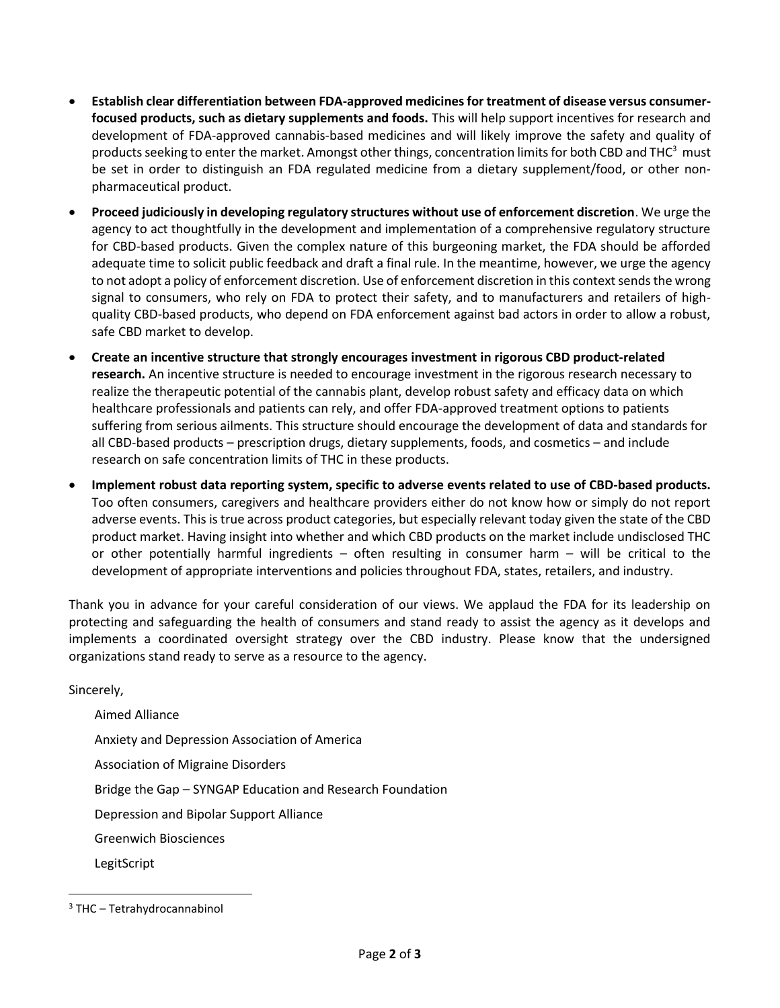- **Establish clear differentiation between FDA-approved medicines for treatment of disease versus consumerfocused products, such as dietary supplements and foods.** This will help support incentives for research and development of FDA-approved cannabis-based medicines and will likely improve the safety and quality of products seeking to enter the market. Amongst other things, concentration limits for both CBD and THC $3$  must be set in order to distinguish an FDA regulated medicine from a dietary supplement/food, or other nonpharmaceutical product.
- **Proceed judiciously in developing regulatory structures without use of enforcement discretion**. We urge the agency to act thoughtfully in the development and implementation of a comprehensive regulatory structure for CBD-based products. Given the complex nature of this burgeoning market, the FDA should be afforded adequate time to solicit public feedback and draft a final rule. In the meantime, however, we urge the agency to not adopt a policy of enforcement discretion. Use of enforcement discretion in this context sends the wrong signal to consumers, who rely on FDA to protect their safety, and to manufacturers and retailers of highquality CBD-based products, who depend on FDA enforcement against bad actors in order to allow a robust, safe CBD market to develop.
- **Create an incentive structure that strongly encourages investment in rigorous CBD product-related research.** An incentive structure is needed to encourage investment in the rigorous research necessary to realize the therapeutic potential of the cannabis plant, develop robust safety and efficacy data on which healthcare professionals and patients can rely, and offer FDA-approved treatment options to patients suffering from serious ailments. This structure should encourage the development of data and standards for all CBD-based products – prescription drugs, dietary supplements, foods, and cosmetics – and include research on safe concentration limits of THC in these products.
- **Implement robust data reporting system, specific to adverse events related to use of CBD-based products.**  Too often consumers, caregivers and healthcare providers either do not know how or simply do not report adverse events. This is true across product categories, but especially relevant today given the state of the CBD product market. Having insight into whether and which CBD products on the market include undisclosed THC or other potentially harmful ingredients – often resulting in consumer harm – will be critical to the development of appropriate interventions and policies throughout FDA, states, retailers, and industry.

Thank you in advance for your careful consideration of our views. We applaud the FDA for its leadership on protecting and safeguarding the health of consumers and stand ready to assist the agency as it develops and implements a coordinated oversight strategy over the CBD industry. Please know that the undersigned organizations stand ready to serve as a resource to the agency.

Sincerely, Aimed Alliance Anxiety and Depression Association of America Association of Migraine Disorders Bridge the Gap – SYNGAP Education and Research Foundation Depression and Bipolar Support Alliance Greenwich Biosciences LegitScript  $\overline{a}$ 

<sup>3</sup> THC – Tetrahydrocannabinol